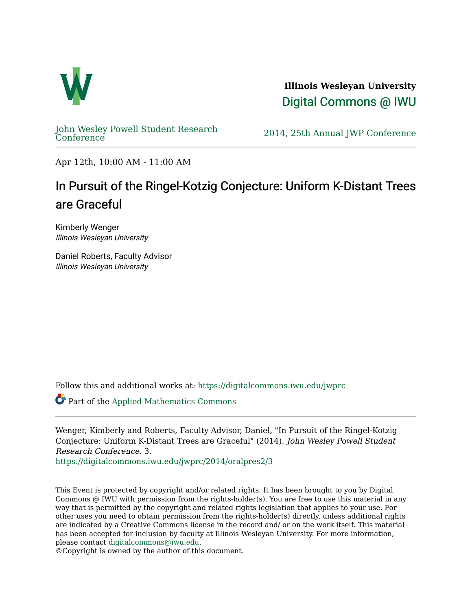

**Illinois Wesleyan University**  [Digital Commons @ IWU](https://digitalcommons.iwu.edu/) 

[John Wesley Powell Student Research](https://digitalcommons.iwu.edu/jwprc) 

2014, 25th Annual JWP [Conference](https://digitalcommons.iwu.edu/jwprc)

Apr 12th, 10:00 AM - 11:00 AM

#### In Pursuit of the Ringel-Kotzig Conjecture: Uniform K-Distant Trees are Graceful

Kimberly Wenger Illinois Wesleyan University

Daniel Roberts, Faculty Advisor Illinois Wesleyan University

Follow this and additional works at: [https://digitalcommons.iwu.edu/jwprc](https://digitalcommons.iwu.edu/jwprc?utm_source=digitalcommons.iwu.edu%2Fjwprc%2F2014%2Foralpres2%2F3&utm_medium=PDF&utm_campaign=PDFCoverPages) 

Part of the [Applied Mathematics Commons](http://network.bepress.com/hgg/discipline/115?utm_source=digitalcommons.iwu.edu%2Fjwprc%2F2014%2Foralpres2%2F3&utm_medium=PDF&utm_campaign=PDFCoverPages) 

Wenger, Kimberly and Roberts, Faculty Advisor, Daniel, "In Pursuit of the Ringel-Kotzig Conjecture: Uniform K-Distant Trees are Graceful" (2014). John Wesley Powell Student Research Conference. 3.

[https://digitalcommons.iwu.edu/jwprc/2014/oralpres2/3](https://digitalcommons.iwu.edu/jwprc/2014/oralpres2/3?utm_source=digitalcommons.iwu.edu%2Fjwprc%2F2014%2Foralpres2%2F3&utm_medium=PDF&utm_campaign=PDFCoverPages)

This Event is protected by copyright and/or related rights. It has been brought to you by Digital Commons @ IWU with permission from the rights-holder(s). You are free to use this material in any way that is permitted by the copyright and related rights legislation that applies to your use. For other uses you need to obtain permission from the rights-holder(s) directly, unless additional rights are indicated by a Creative Commons license in the record and/ or on the work itself. This material has been accepted for inclusion by faculty at Illinois Wesleyan University. For more information, please contact [digitalcommons@iwu.edu.](mailto:digitalcommons@iwu.edu)

©Copyright is owned by the author of this document.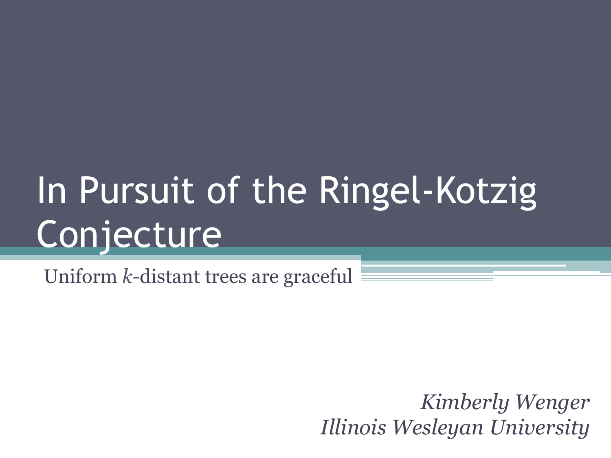# In Pursuit of the Ringel-Kotzig **Conjecture**

Uniform *k-*distant trees are graceful

*Kimberly Wenger Illinois Wesleyan University*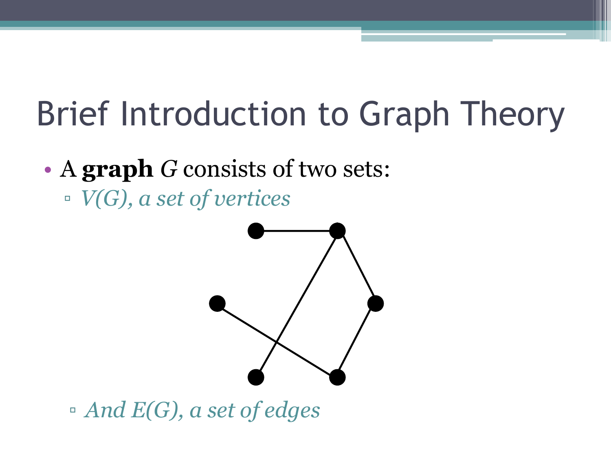- A **graph** *G* consists of two sets:
	- *V(G), a set of vertices*



▫ *And E(G), a set of edges*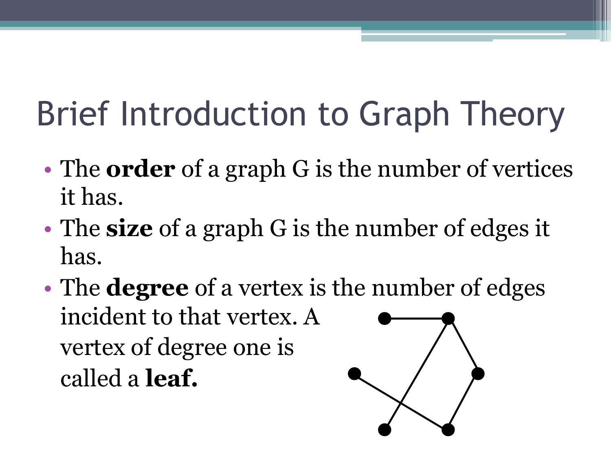- The **order** of a graph G is the number of vertices it has.
- The **size** of a graph G is the number of edges it has.
- The **degree** of a vertex is the number of edges incident to that vertex. A vertex of degree one is called a **leaf.**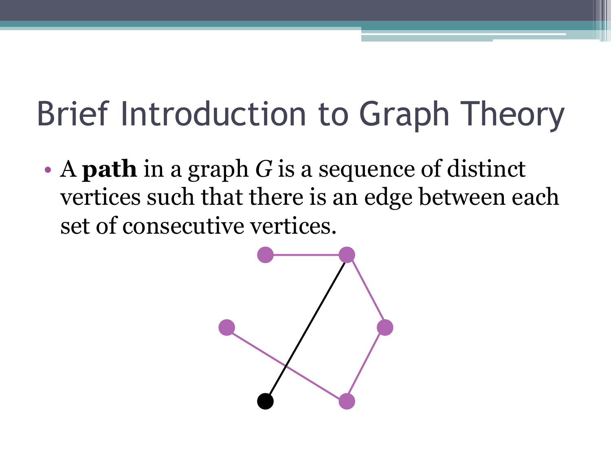• A **path** in a graph *G* is a sequence of distinct vertices such that there is an edge between each set of consecutive vertices.

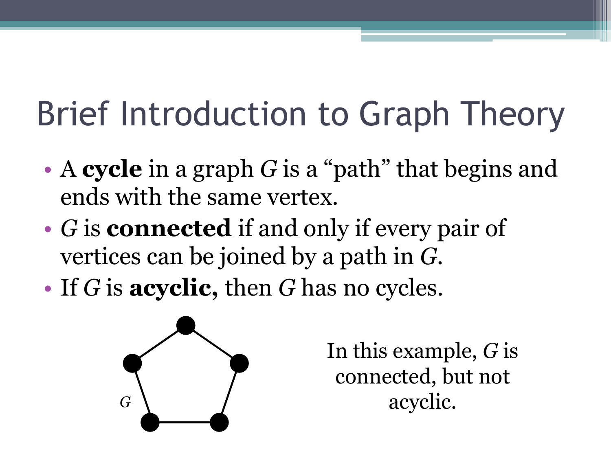- A **cycle** in a graph *G* is a "path" that begins and ends with the same vertex.
- *G* is **connected** if and only if every pair of vertices can be joined by a path in *G.*
- If *G* is **acyclic,** then *G* has no cycles.



In this example, *G* is connected, but not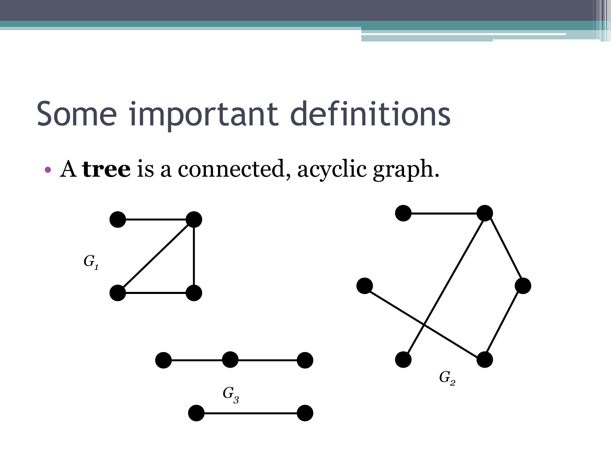## Some important definitions

• A **tree** is a connected, acyclic graph.

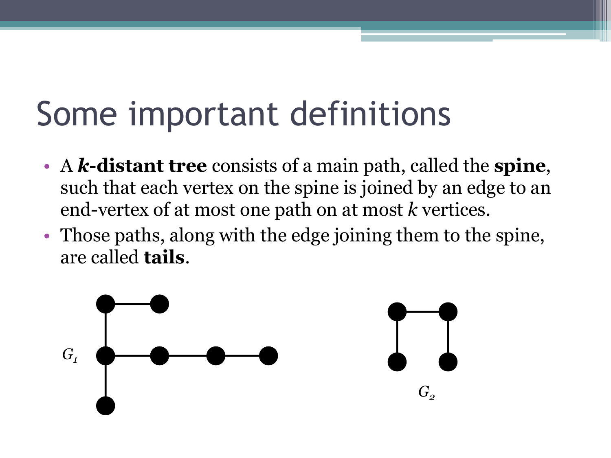## Some important definitions

- A *k***-distant tree** consists of a main path, called the **spine**, such that each vertex on the spine is joined by an edge to an end-vertex of at most one path on at most *k* vertices.
- Those paths, along with the edge joining them to the spine, are called **tails**.

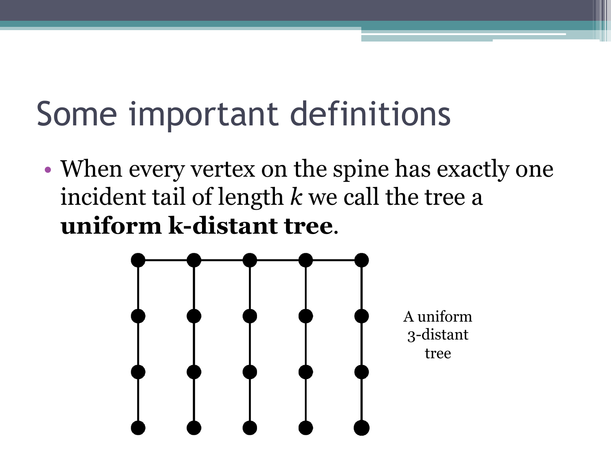## Some important definitions

• When every vertex on the spine has exactly one incident tail of length *k* we call the tree a **uniform k-distant tree**.

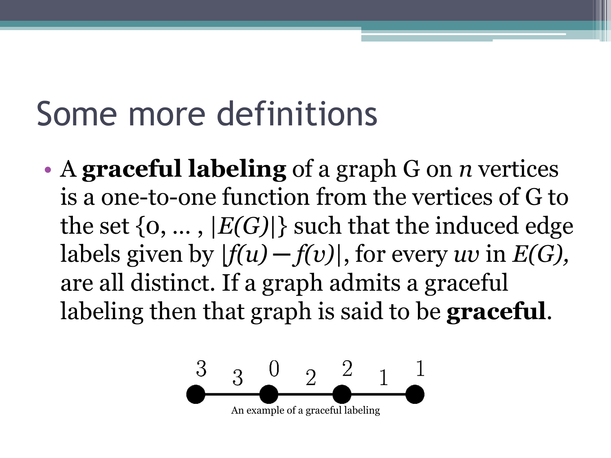## Some more definitions

• A **graceful labeling** of a graph G on *n* vertices is a one-to-one function from the vertices of G to the set  $\{0, ..., |E(G)|\}$  such that the induced edge labels given by  $|f(u) - f(v)|$ , for every *uv* in  $E(G)$ , are all distinct. If a graph admits a graceful labeling then that graph is said to be **graceful**.

$$
\begin{array}{c|cc}\n3 & 3 & 0 & 2 & 2 & 1 & 1 \\
\hline\n\end{array}
$$
 An example of a graceful labeling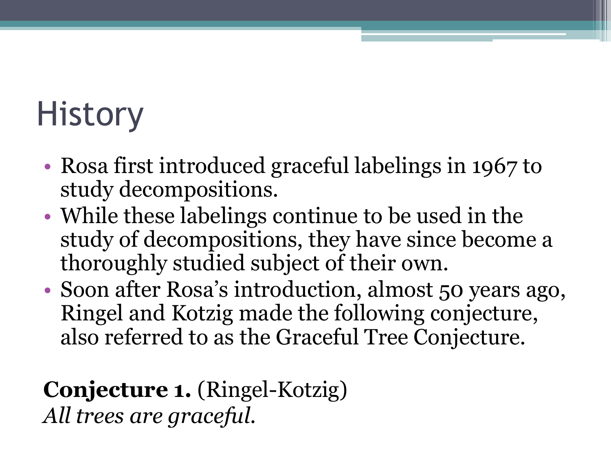## **History**

- Rosa first introduced graceful labelings in 1967 to study decompositions.
- While these labelings continue to be used in the study of decompositions, they have since become a thoroughly studied subject of their own.
- Soon after Rosa's introduction, almost 50 years ago, Ringel and Kotzig made the following conjecture, also referred to as the Graceful Tree Conjecture.

#### **Conjecture 1.** (Ringel-Kotzig) *All trees are graceful.*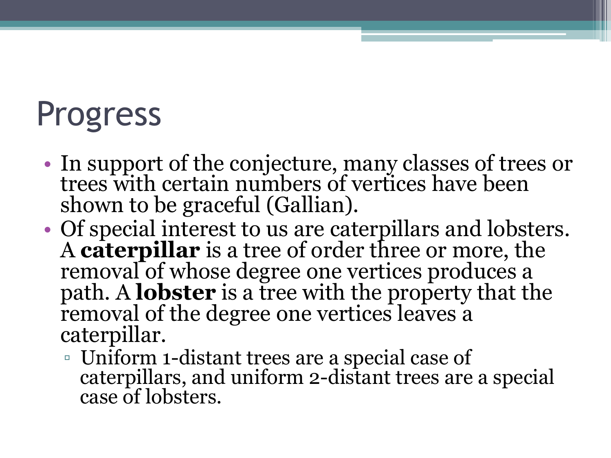## Progress

- In support of the conjecture, many classes of trees or trees with certain numbers of vertices have been shown to be graceful (Gallian).
- Of special interest to us are caterpillars and lobsters. A **caterpillar** is a tree of order three or more, the removal of whose degree one vertices produces a path. A **lobster** is a tree with the property that the removal of the degree one vertices leaves a caterpillar.
	- Uniform 1-distant trees are a special case of caterpillars, and uniform 2-distant trees are a special case of lobsters.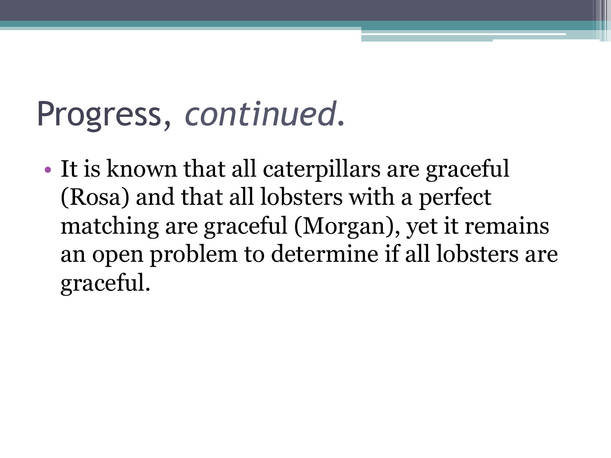## Progress, *continued.*

• It is known that all caterpillars are graceful (Rosa) and that all lobsters with a perfect matching are graceful (Morgan), yet it remains an open problem to determine if all lobsters are graceful.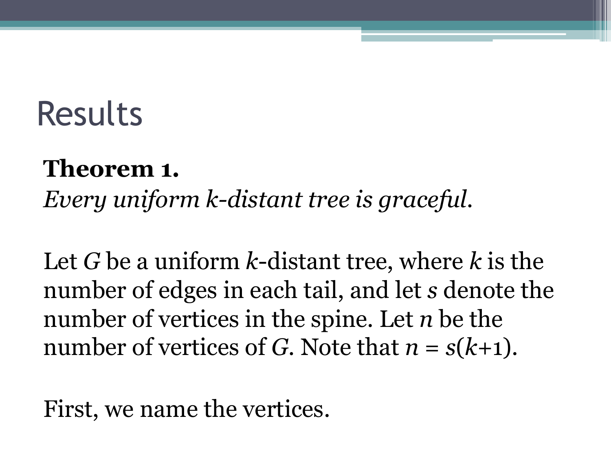### Results

#### **Theorem 1.**

*Every uniform k-distant tree is graceful.* 

Let *G* be a uniform *k*-distant tree, where *k* is the number of edges in each tail, and let *s* denote the number of vertices in the spine. Let *n* be the number of vertices of *G*. Note that  $n = s(k+1)$ .

First, we name the vertices.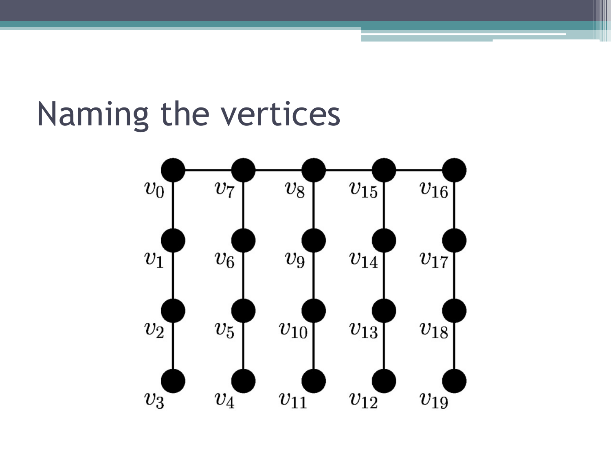### Naming the vertices

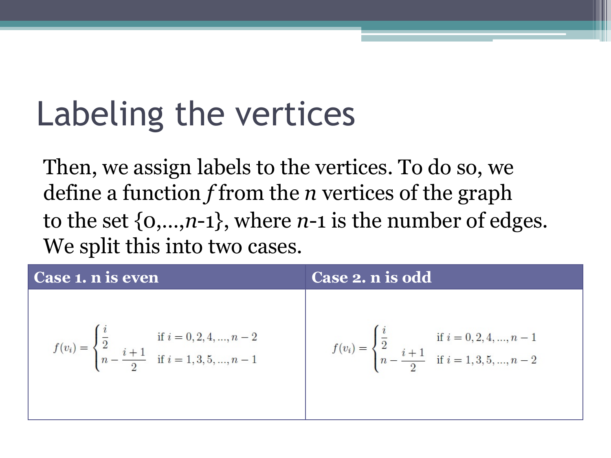## Labeling the vertices

Then, we assign labels to the vertices. To do so, we define a function *f* from the *n* vertices of the graph to the set {0,…,*n*-1}, where *n*-1 is the number of edges. We split this into two cases.

| Case 1. n is even                                                                                                                     | Case 2. n is odd                                                                                                                      |
|---------------------------------------------------------------------------------------------------------------------------------------|---------------------------------------------------------------------------------------------------------------------------------------|
| $f(v_i) = \begin{cases} \frac{i}{2} & \text{if } i = 0, 2, 4, , n-2 \\ n - \frac{i+1}{2} & \text{if } i = 1, 3, 5, , n-1 \end{cases}$ | $f(v_i) = \begin{cases} \frac{i}{2} & \text{if } i = 0, 2, 4, , n-1 \\ n - \frac{i+1}{2} & \text{if } i = 1, 3, 5, , n-2 \end{cases}$ |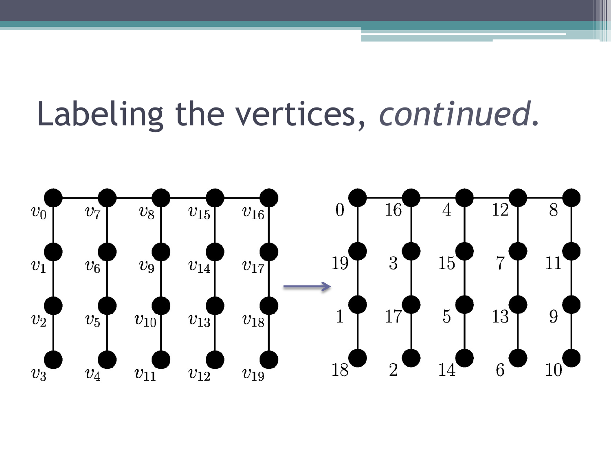### Labeling the vertices, *continued.*

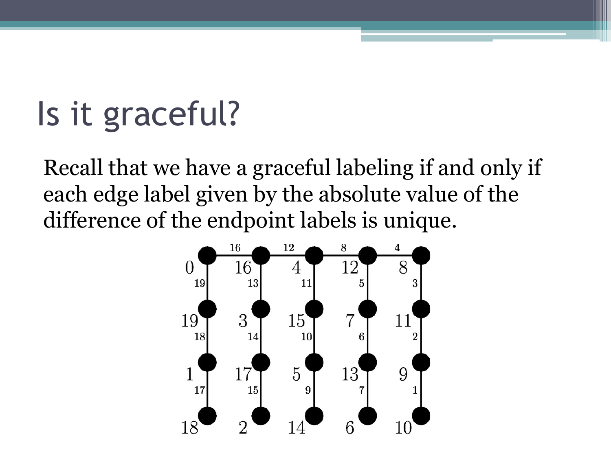## Is it graceful?

Recall that we have a graceful labeling if and only if each edge label given by the absolute value of the difference of the endpoint labels is unique.

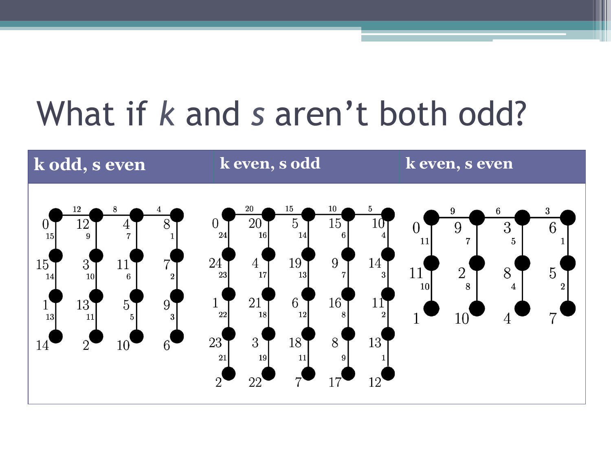## What if *k* and *s* aren't both odd?

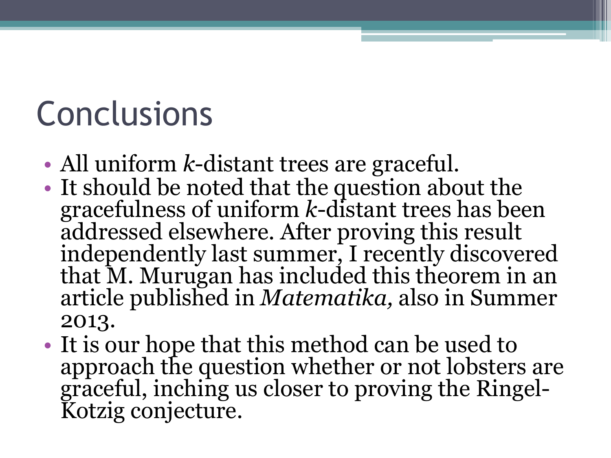## **Conclusions**

- All uniform *k*-distant trees are graceful.
- It should be noted that the question about the gracefulness of uniform *k*-distant trees has been addressed elsewhere. After proving this result independently last summer, I recently discovered that M. Murugan has included this theorem in an article published in *Matematika,* also in Summer 2013.
- It is our hope that this method can be used to approach the question whether or not lobsters are graceful, inching us closer to proving the Ringel-Kotzig conjecture.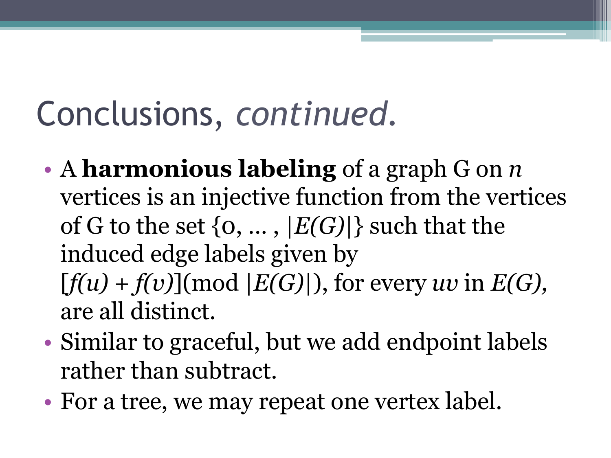## Conclusions, *continued.*

- A **harmonious labeling** of a graph G on *n* vertices is an injective function from the vertices of G to the set  $\{0, ..., |E(G)|\}$  such that the induced edge labels given by  $[f(u) + f(v)] \pmod{E(G)}$ , for every *uv* in  $E(G)$ , are all distinct.
- Similar to graceful, but we add endpoint labels rather than subtract.
- For a tree, we may repeat one vertex label.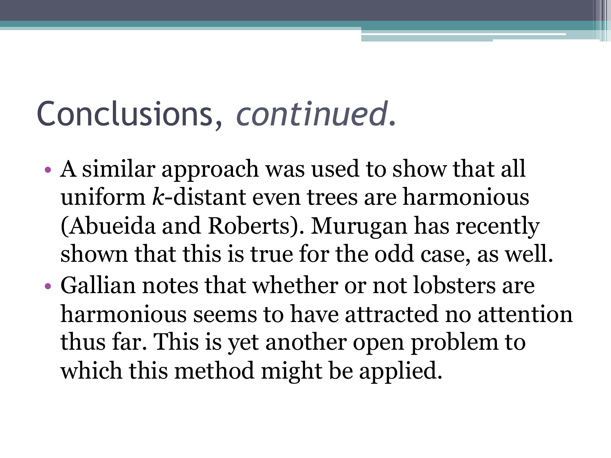## Conclusions, *continued.*

- A similar approach was used to show that all uniform *k*-distant even trees are harmonious (Abueida and Roberts). Murugan has recently shown that this is true for the odd case, as well.
- Gallian notes that whether or not lobsters are harmonious seems to have attracted no attention thus far. This is yet another open problem to which this method might be applied.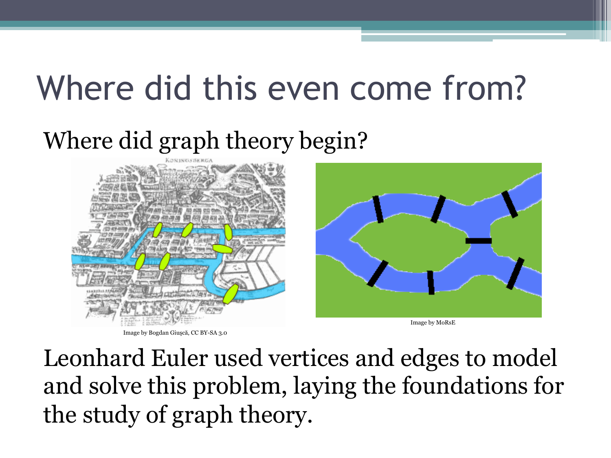## Where did this even come from?

#### Where did graph theory begin?



Image by Bogdan Giuşcă, CC BY-SA 3.0



Image by MoRsE

Leonhard Euler used vertices and edges to model and solve this problem, laying the foundations for the study of graph theory.